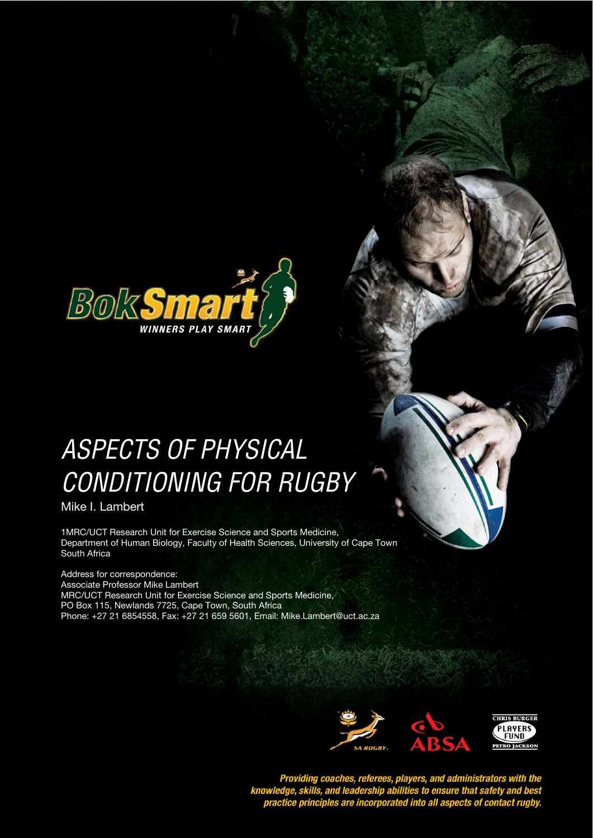

# ASPECTS OF PHYSICAL *STYLE HEADING FOR TABLES*  CONDITIONING FOR RUGBY

Mike I. Lambert

1MRC/UCT Research Unit for Exercise Science and Sports Medicine, Department of Human Biology, Faculty of Health Sciences, University of Cape Town South Africa

Address for correspondence: Associate Professor Mike Lambert MRC/UCT Research Unit for Exercise Science and Sports Medicine, PO Box 115, Newlands 7725, Cape Town, South Africa Phone: +27 21 6854558, Fax: +27 21 659 5601, Email: Mike.Lambert@uct.ac.za



Providing coaches, referees, players, and administrators with the<br>knowledge, skills, and leadership abilities to ensure that safety and best<br>practice principles are incorporated into all aspects of contact rugby.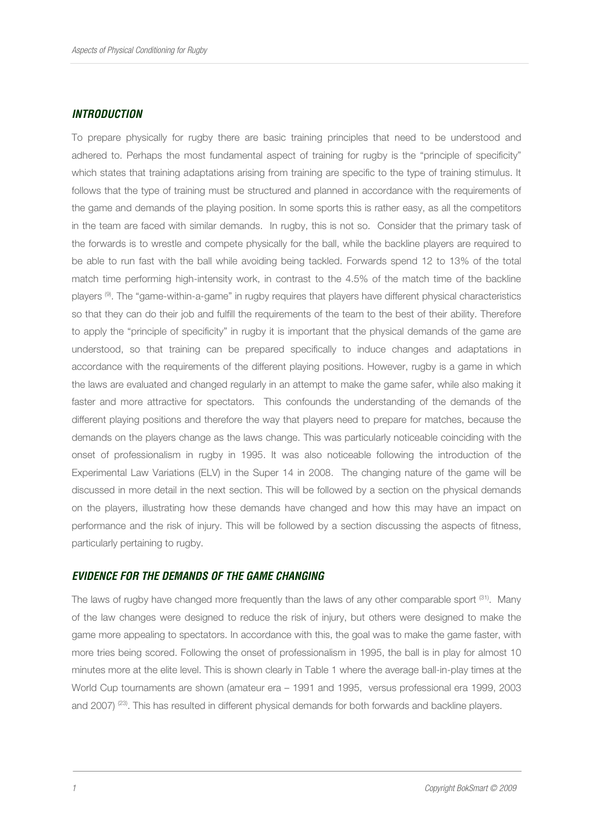#### *INTRODUCTION*

To prepare physically for rugby there are basic training principles that need to be understood and adhered to. Perhaps the most fundamental aspect of training for rugby is the "principle of specificity" which states that training adaptations arising from training are specific to the type of training stimulus. It follows that the type of training must be structured and planned in accordance with the requirements of the game and demands of the playing position. In some sports this is rather easy, as all the competitors in the team are faced with similar demands. In rugby, this is not so. Consider that the primary task of the forwards is to wrestle and compete physically for the ball, while the backline players are required to be able to run fast with the ball while avoiding being tackled. Forwards spend 12 to 13% of the total match time performing high-intensity work, in contrast to the 4.5% of the match time of the backline players (9). The "game-within-a-game" in rugby requires that players have different physical characteristics so that they can do their job and fulfill the requirements of the team to the best of their ability. Therefore to apply the "principle of specificity" in rugby it is important that the physical demands of the game are understood, so that training can be prepared specifically to induce changes and adaptations in accordance with the requirements of the different playing positions. However, rugby is a game in which the laws are evaluated and changed regularly in an attempt to make the game safer, while also making it faster and more attractive for spectators. This confounds the understanding of the demands of the different playing positions and therefore the way that players need to prepare for matches, because the demands on the players change as the laws change. This was particularly noticeable coinciding with the onset of professionalism in rugby in 1995. It was also noticeable following the introduction of the Experimental Law Variations (ELV) in the Super 14 in 2008. The changing nature of the game will be discussed in more detail in the next section. This will be followed by a section on the physical demands on the players, illustrating how these demands have changed and how this may have an impact on performance and the risk of injury. This will be followed by a section discussing the aspects of fitness, particularly pertaining to rugby.

## *EVIDENCE FOR THE DEMANDS OF THE GAME CHANGING*

The laws of rugby have changed more frequently than the laws of any other comparable sport  $(31)$ . Many of the law changes were designed to reduce the risk of injury, but others were designed to make the game more appealing to spectators. In accordance with this, the goal was to make the game faster, with more tries being scored. Following the onset of professionalism in 1995, the ball is in play for almost 10 minutes more at the elite level. This is shown clearly in Table 1 where the average ball-in-play times at the World Cup tournaments are shown (amateur era – 1991 and 1995, versus professional era 1999, 2003 and 2007) (23). This has resulted in different physical demands for both forwards and backline players.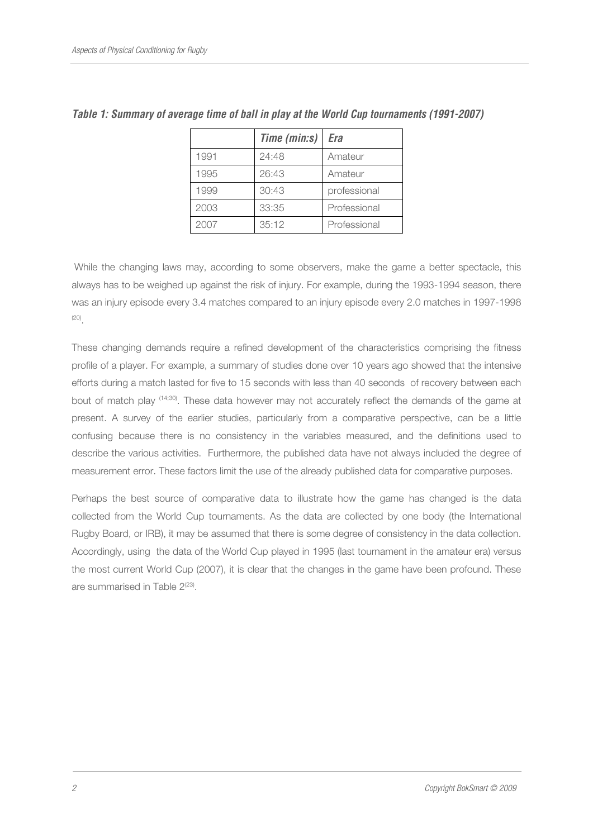|      | Time (min:s) | Era          |  |
|------|--------------|--------------|--|
| 1991 | 24:48        | Amateur      |  |
| 1995 | 26:43        | Amateur      |  |
| 1999 | 30:43        | professional |  |
| 2003 | 33:35        | Professional |  |
| 2007 | 35:12        | Professional |  |

*Table 1: Summary of average time of ball in play at the World Cup tournaments (1991-2007)* 

 While the changing laws may, according to some observers, make the game a better spectacle, this always has to be weighed up against the risk of injury. For example, during the 1993-1994 season, there was an injury episode every 3.4 matches compared to an injury episode every 2.0 matches in 1997-1998 (20) .

These changing demands require a refined development of the characteristics comprising the fitness profile of a player. For example, a summary of studies done over 10 years ago showed that the intensive efforts during a match lasted for five to 15 seconds with less than 40 seconds of recovery between each bout of match play (14;30). These data however may not accurately reflect the demands of the game at present. A survey of the earlier studies, particularly from a comparative perspective, can be a little confusing because there is no consistency in the variables measured, and the definitions used to describe the various activities. Furthermore, the published data have not always included the degree of measurement error. These factors limit the use of the already published data for comparative purposes.

Perhaps the best source of comparative data to illustrate how the game has changed is the data collected from the World Cup tournaments. As the data are collected by one body (the International Rugby Board, or IRB), it may be assumed that there is some degree of consistency in the data collection. Accordingly, using the data of the World Cup played in 1995 (last tournament in the amateur era) versus the most current World Cup (2007), it is clear that the changes in the game have been profound. These are summarised in Table 2<sup>(23)</sup>.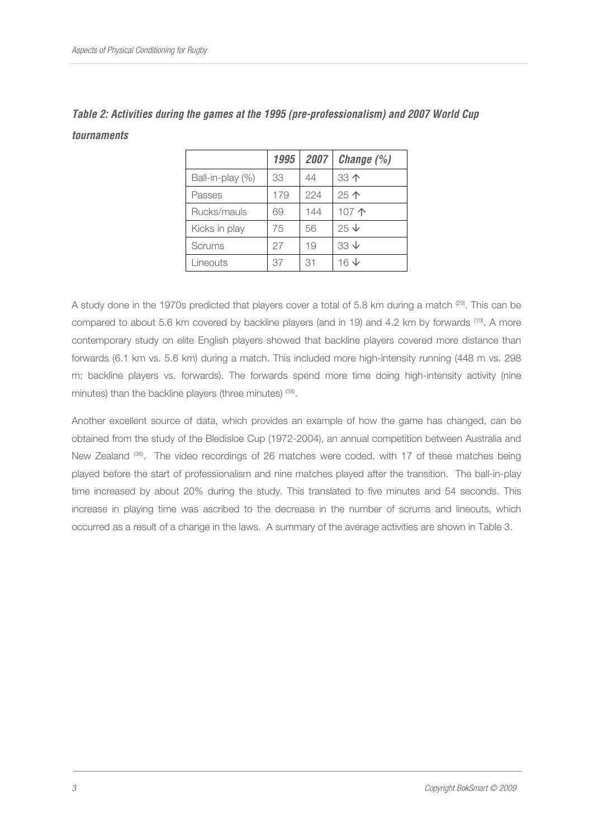|                  | 1995 | 2007 | Change (%)                |
|------------------|------|------|---------------------------|
| Ball-in-play (%) | 33   | 44   | 33个                       |
| Passes           | 179  | 224  | 25个                       |
| Rucks/mauls      | 69   | 144  | 107个                      |
| Kicks in play    | 75   | 56   | $25 \text{V}$             |
| Scrums           | 27   | 19   | $33 \n\downarrow$         |
| Lineouts         | 37   | 31   | $16\,\mathrm{\downarrow}$ |

| Table 2: Activities during the games at the 1995 (pre-professionalism) and 2007 World Cup |  |  |  |  |
|-------------------------------------------------------------------------------------------|--|--|--|--|
| tournaments                                                                               |  |  |  |  |

A study done in the 1970s predicted that players cover a total of 5.8 km during a match <sup>(29)</sup>. This can be compared to about 5.6 km covered by backline players (and in 19) and 4.2 km by forwards <sup>(10)</sup>. A more contemporary study on elite English players showed that backline players covered more distance than forwards (6.1 km vs. 5.6 km) during a match. This included more high-intensity running (448 m vs. 298 m; backline players vs. forwards). The forwards spend more time doing high-intensity activity (nine minutes) than the backline players (three minutes) <sup>(38)</sup>.

Another excellent source of data, which provides an example of how the game has changed, can be obtained from the study of the Bledisloe Cup (1972-2004), an annual competition between Australia and New Zealand (36). The video recordings of 26 matches were coded, with 17 of these matches being played before the start of professionalism and nine matches played after the transition. The ball-in-play time increased by about 20% during the study. This translated to five minutes and 54 seconds. This increase in playing time was ascribed to the decrease in the number of scrums and lineouts, which occurred as a result of a change in the laws. A summary of the average activities are shown in Table 3.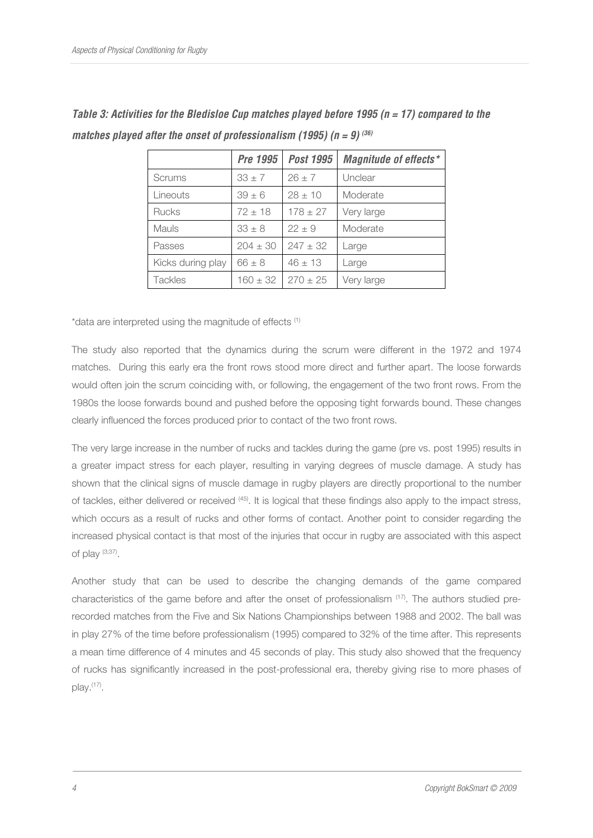|                   | Pre 1995     | <b>Post 1995</b> | <b>Magnitude of effects*</b> |
|-------------------|--------------|------------------|------------------------------|
| <b>Scrums</b>     | $33 \pm 7$   | $26 \pm 7$       | Unclear                      |
| Lineouts          | $39 \pm 6$   | $28 \pm 10$      | Moderate                     |
| <b>Rucks</b>      | $72 \pm 18$  | $178 \pm 27$     | Very large                   |
| <b>Mauls</b>      | $33 \pm 8$   | $22 + 9$         | Moderate                     |
| Passes            | $204 \pm 30$ | $247 \pm 32$     | Large                        |
| Kicks during play | $66 \pm 8$   | $46 \pm 13$      | Large                        |
| <b>Tackles</b>    | $160 \pm 32$ | $270 \pm 25$     | Very large                   |

*Table 3: Activities for the Bledisloe Cup matches played before 1995 (n = 17) compared to the matches played after the onset of professionalism (1995) (n = 9)*  $(36)$ 

\*data are interpreted using the magnitude of effects (1)

The study also reported that the dynamics during the scrum were different in the 1972 and 1974 matches. During this early era the front rows stood more direct and further apart. The loose forwards would often join the scrum coinciding with, or following, the engagement of the two front rows. From the 1980s the loose forwards bound and pushed before the opposing tight forwards bound. These changes clearly influenced the forces produced prior to contact of the two front rows.

The very large increase in the number of rucks and tackles during the game (pre vs. post 1995) results in a greater impact stress for each player, resulting in varying degrees of muscle damage. A study has shown that the clinical signs of muscle damage in rugby players are directly proportional to the number of tackles, either delivered or received (45). It is logical that these findings also apply to the impact stress, which occurs as a result of rucks and other forms of contact. Another point to consider regarding the increased physical contact is that most of the injuries that occur in rugby are associated with this aspect of play (3;37) .

Another study that can be used to describe the changing demands of the game compared characteristics of the game before and after the onset of professionalism <sup>(17)</sup>. The authors studied prerecorded matches from the Five and Six Nations Championships between 1988 and 2002. The ball was in play 27% of the time before professionalism (1995) compared to 32% of the time after. This represents a mean time difference of 4 minutes and 45 seconds of play. This study also showed that the frequency of rucks has significantly increased in the post-professional era, thereby giving rise to more phases of play.<sup>(17)</sup>.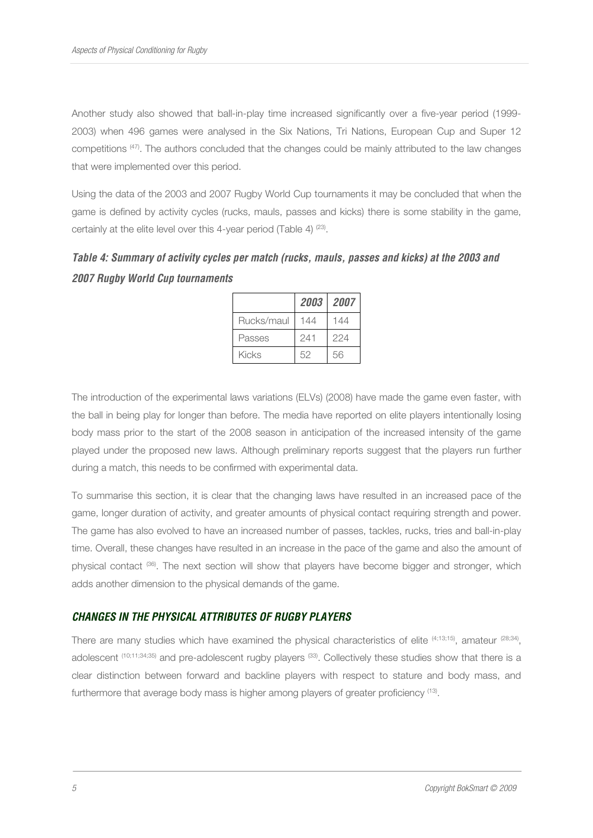Another study also showed that ball-in-play time increased significantly over a five-year period (1999- 2003) when 496 games were analysed in the Six Nations, Tri Nations, European Cup and Super 12 competitions (47). The authors concluded that the changes could be mainly attributed to the law changes that were implemented over this period.

Using the data of the 2003 and 2007 Rugby World Cup tournaments it may be concluded that when the game is defined by activity cycles (rucks, mauls, passes and kicks) there is some stability in the game, certainly at the elite level over this 4-year period (Table 4)  $(23)$ .

*Table 4: Summary of activity cycles per match (rucks, mauls, passes and kicks) at the 2003 and 2007 Rugby World Cup tournaments* 

|            | 2003 | 2007 |
|------------|------|------|
| Rucks/maul | 144  | 144  |
| Passes     | 241  | 224  |
| Kicks      | 52   | 56   |

The introduction of the experimental laws variations (ELVs) (2008) have made the game even faster, with the ball in being play for longer than before. The media have reported on elite players intentionally losing body mass prior to the start of the 2008 season in anticipation of the increased intensity of the game played under the proposed new laws. Although preliminary reports suggest that the players run further during a match, this needs to be confirmed with experimental data.

To summarise this section, it is clear that the changing laws have resulted in an increased pace of the game, longer duration of activity, and greater amounts of physical contact requiring strength and power. The game has also evolved to have an increased number of passes, tackles, rucks, tries and ball-in-play time. Overall, these changes have resulted in an increase in the pace of the game and also the amount of physical contact (36). The next section will show that players have become bigger and stronger, which adds another dimension to the physical demands of the game.

# *CHANGES IN THE PHYSICAL ATTRIBUTES OF RUGBY PLAYERS*

There are many studies which have examined the physical characteristics of elite  $\frac{(4;13;15)}{2}$ , amateur  $\frac{(28;34)}{2}$ , adolescent (10;11;34;35) and pre-adolescent rugby players (33). Collectively these studies show that there is a clear distinction between forward and backline players with respect to stature and body mass, and furthermore that average body mass is higher among players of greater proficiency <sup>(13)</sup>.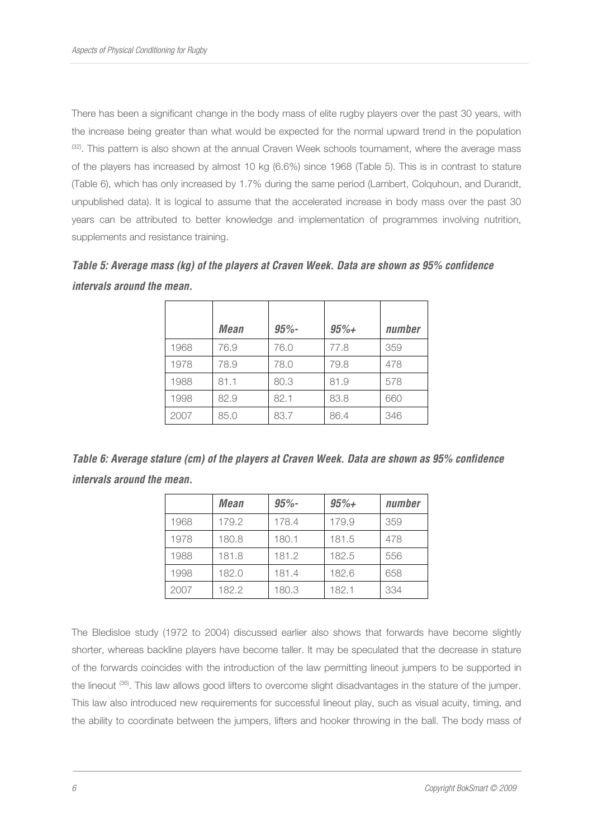There has been a significant change in the body mass of elite rugby players over the past 30 years, with the increase being greater than what would be expected for the normal upward trend in the population  $(32)$ . This pattern is also shown at the annual Craven Week schools tournament, where the average mass of the players has increased by almost 10 kg (6.6%) since 1968 (Table 5). This is in contrast to stature (Table 6), which has only increased by 1.7% during the same period (Lambert, Colquhoun, and Durandt, unpublished data). It is logical to assume that the accelerated increase in body mass over the past 30 years can be attributed to better knowledge and implementation of programmes involving nutrition, supplements and resistance training.

*Table 5: Average mass (kg) of the players at Craven Week. Data are shown as 95% confidence intervals around the mean.* 

|      | <b>Mean</b> | $95% -$ | $95% +$ | number |
|------|-------------|---------|---------|--------|
| 1968 | 76.9        | 76.0    | 77.8    | 359    |
| 1978 | 78.9        | 78.0    | 79.8    | 478    |
| 1988 | 81.1        | 80.3    | 81.9    | 578    |
| 1998 | 82.9        | 82.1    | 83.8    | 660    |
| 2007 | 85.0        | 83.7    | 86.4    | 346    |

*Table 6: Average stature (cm) of the players at Craven Week. Data are shown as 95% confidence intervals around the mean.* 

|      | Mean  | $95% -$ | $95% +$ | number |
|------|-------|---------|---------|--------|
| 1968 | 179.2 | 178.4   | 179.9   | 359    |
| 1978 | 180.8 | 180.1   | 181.5   | 478    |
| 1988 | 181.8 | 181.2   | 182.5   | 556    |
| 1998 | 182.0 | 181.4   | 182.6   | 658    |
| 2007 | 182.2 | 180.3   | 182.1   | 334    |

The Bledisloe study (1972 to 2004) discussed earlier also shows that forwards have become slightly shorter, whereas backline players have become taller. It may be speculated that the decrease in stature of the forwards coincides with the introduction of the law permitting lineout jumpers to be supported in the lineout <sup>(36)</sup>. This law allows good lifters to overcome slight disadvantages in the stature of the jumper. This law also introduced new requirements for successful lineout play, such as visual acuity, timing, and the ability to coordinate between the jumpers, lifters and hooker throwing in the ball. The body mass of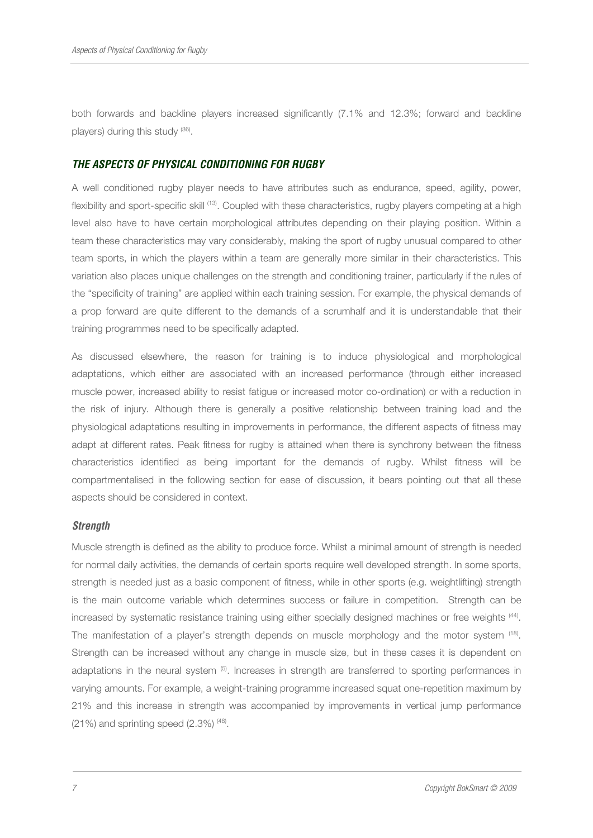both forwards and backline players increased significantly (7.1% and 12.3%; forward and backline players) during this study (36).

#### *THE ASPECTS OF PHYSICAL CONDITIONING FOR RUGBY*

A well conditioned rugby player needs to have attributes such as endurance, speed, agility, power, flexibility and sport-specific skill <sup>(13)</sup>. Coupled with these characteristics, rugby players competing at a high level also have to have certain morphological attributes depending on their playing position. Within a team these characteristics may vary considerably, making the sport of rugby unusual compared to other team sports, in which the players within a team are generally more similar in their characteristics. This variation also places unique challenges on the strength and conditioning trainer, particularly if the rules of the "specificity of training" are applied within each training session. For example, the physical demands of a prop forward are quite different to the demands of a scrumhalf and it is understandable that their training programmes need to be specifically adapted.

As discussed elsewhere, the reason for training is to induce physiological and morphological adaptations, which either are associated with an increased performance (through either increased muscle power, increased ability to resist fatigue or increased motor co-ordination) or with a reduction in the risk of injury. Although there is generally a positive relationship between training load and the physiological adaptations resulting in improvements in performance, the different aspects of fitness may adapt at different rates. Peak fitness for rugby is attained when there is synchrony between the fitness characteristics identified as being important for the demands of rugby. Whilst fitness will be compartmentalised in the following section for ease of discussion, it bears pointing out that all these aspects should be considered in context.

#### *Strength*

Muscle strength is defined as the ability to produce force. Whilst a minimal amount of strength is needed for normal daily activities, the demands of certain sports require well developed strength. In some sports, strength is needed just as a basic component of fitness, while in other sports (e.g. weightlifting) strength is the main outcome variable which determines success or failure in competition. Strength can be increased by systematic resistance training using either specially designed machines or free weights <sup>(44)</sup>. The manifestation of a player's strength depends on muscle morphology and the motor system <sup>(18)</sup>. Strength can be increased without any change in muscle size, but in these cases it is dependent on adaptations in the neural system  $(5)$ . Increases in strength are transferred to sporting performances in varying amounts. For example, a weight-training programme increased squat one-repetition maximum by 21% and this increase in strength was accompanied by improvements in vertical jump performance  $(21%)$  and sprinting speed  $(2.3%)$   $(48)$ .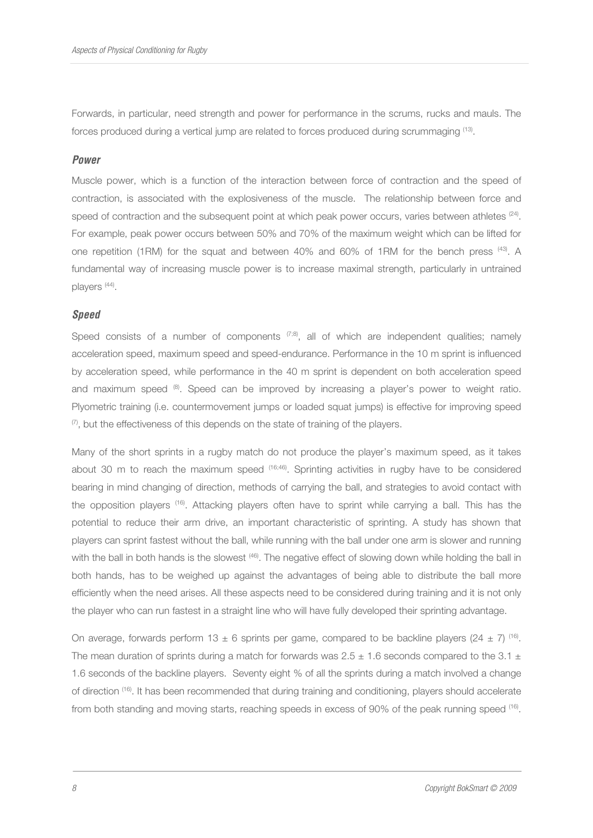Forwards, in particular, need strength and power for performance in the scrums, rucks and mauls. The forces produced during a vertical jump are related to forces produced during scrummaging <sup>(13)</sup>.

## *Power*

Muscle power, which is a function of the interaction between force of contraction and the speed of contraction, is associated with the explosiveness of the muscle. The relationship between force and speed of contraction and the subsequent point at which peak power occurs, varies between athletes  $(24)$ . For example, peak power occurs between 50% and 70% of the maximum weight which can be lifted for one repetition (1RM) for the squat and between 40% and 60% of 1RM for the bench press (43). A fundamental way of increasing muscle power is to increase maximal strength, particularly in untrained players<sup>(44)</sup>.

## *Speed*

Speed consists of a number of components  $(7,8)$ , all of which are independent qualities; namely acceleration speed, maximum speed and speed-endurance. Performance in the 10 m sprint is influenced by acceleration speed, while performance in the 40 m sprint is dependent on both acceleration speed and maximum speed (8). Speed can be improved by increasing a player's power to weight ratio. Plyometric training (i.e. countermovement jumps or loaded squat jumps) is effective for improving speed  $(7)$ , but the effectiveness of this depends on the state of training of the players.

Many of the short sprints in a rugby match do not produce the player's maximum speed, as it takes about 30 m to reach the maximum speed (16;46). Sprinting activities in rugby have to be considered bearing in mind changing of direction, methods of carrying the ball, and strategies to avoid contact with the opposition players (16). Attacking players often have to sprint while carrying a ball. This has the potential to reduce their arm drive, an important characteristic of sprinting. A study has shown that players can sprint fastest without the ball, while running with the ball under one arm is slower and running with the ball in both hands is the slowest (46). The negative effect of slowing down while holding the ball in both hands, has to be weighed up against the advantages of being able to distribute the ball more efficiently when the need arises. All these aspects need to be considered during training and it is not only the player who can run fastest in a straight line who will have fully developed their sprinting advantage.

On average, forwards perform 13  $\pm$  6 sprints per game, compared to be backline players (24  $\pm$  7) <sup>(16)</sup>. The mean duration of sprints during a match for forwards was  $2.5 \pm 1.6$  seconds compared to the 3.1  $\pm$ 1.6 seconds of the backline players. Seventy eight % of all the sprints during a match involved a change of direction (16). It has been recommended that during training and conditioning, players should accelerate from both standing and moving starts, reaching speeds in excess of 90% of the peak running speed <sup>(16)</sup>.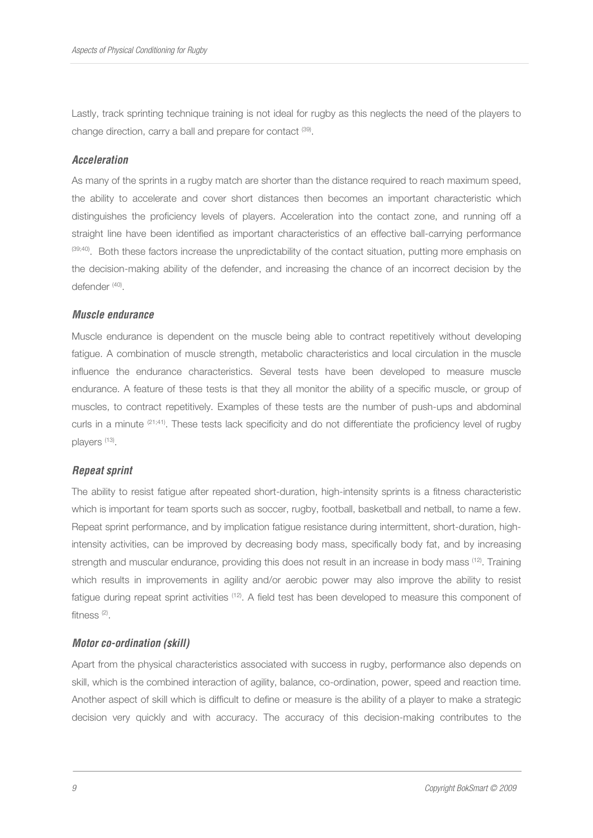Lastly, track sprinting technique training is not ideal for rugby as this neglects the need of the players to change direction, carry a ball and prepare for contact <sup>(39)</sup>.

## *Acceleration*

As many of the sprints in a rugby match are shorter than the distance required to reach maximum speed, the ability to accelerate and cover short distances then becomes an important characteristic which distinguishes the proficiency levels of players. Acceleration into the contact zone, and running off a straight line have been identified as important characteristics of an effective ball-carrying performance (39;40). Both these factors increase the unpredictability of the contact situation, putting more emphasis on the decision-making ability of the defender, and increasing the chance of an incorrect decision by the defender (40).

## *Muscle endurance*

Muscle endurance is dependent on the muscle being able to contract repetitively without developing fatigue. A combination of muscle strength, metabolic characteristics and local circulation in the muscle influence the endurance characteristics. Several tests have been developed to measure muscle endurance. A feature of these tests is that they all monitor the ability of a specific muscle, or group of muscles, to contract repetitively. Examples of these tests are the number of push-ups and abdominal curls in a minute (21;41). These tests lack specificity and do not differentiate the proficiency level of rugby players (13).

# *Repeat sprint*

The ability to resist fatigue after repeated short-duration, high-intensity sprints is a fitness characteristic which is important for team sports such as soccer, rugby, football, basketball and netball, to name a few. Repeat sprint performance, and by implication fatigue resistance during intermittent, short-duration, highintensity activities, can be improved by decreasing body mass, specifically body fat, and by increasing strength and muscular endurance, providing this does not result in an increase in body mass <sup>(12)</sup>. Training which results in improvements in agility and/or aerobic power may also improve the ability to resist fatigue during repeat sprint activities (12). A field test has been developed to measure this component of fitness (2) .

# *Motor co-ordination (skill)*

Apart from the physical characteristics associated with success in rugby, performance also depends on skill, which is the combined interaction of agility, balance, co-ordination, power, speed and reaction time. Another aspect of skill which is difficult to define or measure is the ability of a player to make a strategic decision very quickly and with accuracy. The accuracy of this decision-making contributes to the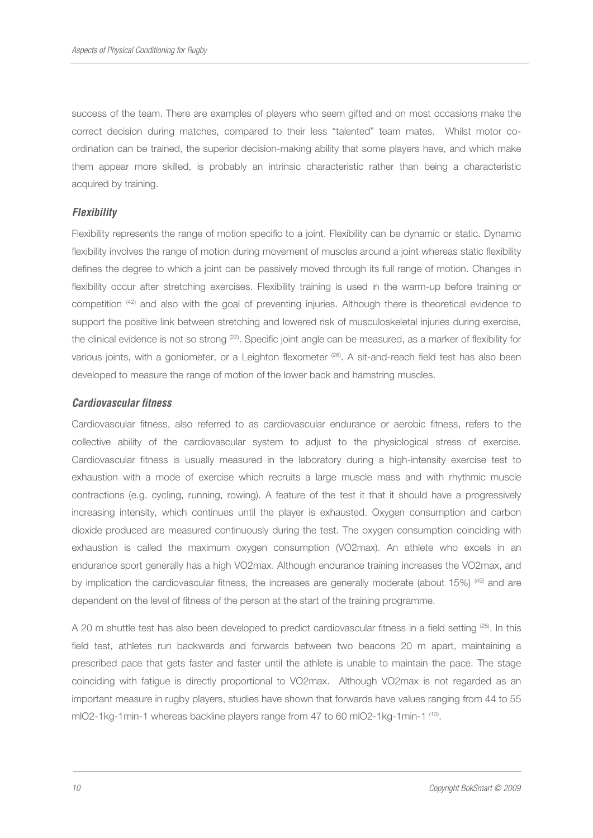success of the team. There are examples of players who seem gifted and on most occasions make the correct decision during matches, compared to their less "talented" team mates. Whilst motor coordination can be trained, the superior decision-making ability that some players have, and which make them appear more skilled, is probably an intrinsic characteristic rather than being a characteristic acquired by training.

#### *Flexibility*

Flexibility represents the range of motion specific to a joint. Flexibility can be dynamic or static. Dynamic flexibility involves the range of motion during movement of muscles around a joint whereas static flexibility defines the degree to which a joint can be passively moved through its full range of motion. Changes in flexibility occur after stretching exercises. Flexibility training is used in the warm-up before training or competition <sup>(42)</sup> and also with the goal of preventing injuries. Although there is theoretical evidence to support the positive link between stretching and lowered risk of musculoskeletal injuries during exercise, the clinical evidence is not so strong <sup>(22)</sup>. Specific joint angle can be measured, as a marker of flexibility for various joints, with a goniometer, or a Leighton flexometer  $^{(26)}$ . A sit-and-reach field test has also been developed to measure the range of motion of the lower back and hamstring muscles.

#### *Cardiovascular fitness*

Cardiovascular fitness, also referred to as cardiovascular endurance or aerobic fitness, refers to the collective ability of the cardiovascular system to adjust to the physiological stress of exercise. Cardiovascular fitness is usually measured in the laboratory during a high-intensity exercise test to exhaustion with a mode of exercise which recruits a large muscle mass and with rhythmic muscle contractions (e.g. cycling, running, rowing). A feature of the test it that it should have a progressively increasing intensity, which continues until the player is exhausted. Oxygen consumption and carbon dioxide produced are measured continuously during the test. The oxygen consumption coinciding with exhaustion is called the maximum oxygen consumption (VO2max). An athlete who excels in an endurance sport generally has a high VO2max. Although endurance training increases the VO2max, and by implication the cardiovascular fitness, the increases are generally moderate (about 15%) <sup>(49)</sup> and are dependent on the level of fitness of the person at the start of the training programme.

A 20 m shuttle test has also been developed to predict cardiovascular fitness in a field setting <sup>(25)</sup>. In this field test, athletes run backwards and forwards between two beacons 20 m apart, maintaining a prescribed pace that gets faster and faster until the athlete is unable to maintain the pace. The stage coinciding with fatigue is directly proportional to VO2max. Although VO2max is not regarded as an important measure in rugby players, studies have shown that forwards have values ranging from 44 to 55 mlO2-1kg-1min-1 whereas backline players range from 47 to 60 mlO2-1kg-1min-1 <sup>(13)</sup>.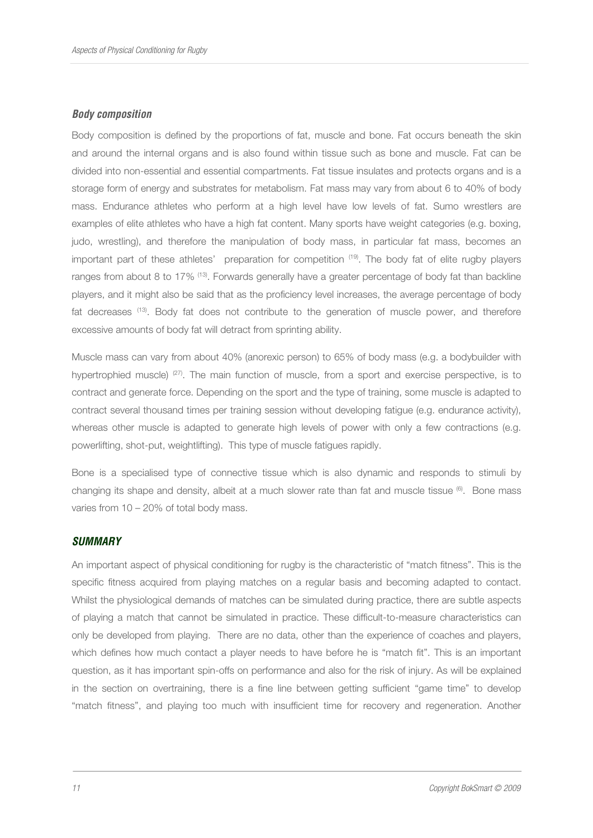#### *Body composition*

Body composition is defined by the proportions of fat, muscle and bone. Fat occurs beneath the skin and around the internal organs and is also found within tissue such as bone and muscle. Fat can be divided into non-essential and essential compartments. Fat tissue insulates and protects organs and is a storage form of energy and substrates for metabolism. Fat mass may vary from about 6 to 40% of body mass. Endurance athletes who perform at a high level have low levels of fat. Sumo wrestlers are examples of elite athletes who have a high fat content. Many sports have weight categories (e.g. boxing, judo, wrestling), and therefore the manipulation of body mass, in particular fat mass, becomes an important part of these athletes' preparation for competition (19). The body fat of elite rugby players ranges from about 8 to 17% <sup>(13)</sup>. Forwards generally have a greater percentage of body fat than backline players, and it might also be said that as the proficiency level increases, the average percentage of body fat decreases (13). Body fat does not contribute to the generation of muscle power, and therefore excessive amounts of body fat will detract from sprinting ability.

Muscle mass can vary from about 40% (anorexic person) to 65% of body mass (e.g. a bodybuilder with hypertrophied muscle) (27). The main function of muscle, from a sport and exercise perspective, is to contract and generate force. Depending on the sport and the type of training, some muscle is adapted to contract several thousand times per training session without developing fatigue (e.g. endurance activity), whereas other muscle is adapted to generate high levels of power with only a few contractions (e.g. powerlifting, shot-put, weightlifting). This type of muscle fatigues rapidly.

Bone is a specialised type of connective tissue which is also dynamic and responds to stimuli by changing its shape and density, albeit at a much slower rate than fat and muscle tissue (6). Bone mass varies from 10 – 20% of total body mass.

## *SUMMARY*

An important aspect of physical conditioning for rugby is the characteristic of "match fitness". This is the specific fitness acquired from playing matches on a regular basis and becoming adapted to contact. Whilst the physiological demands of matches can be simulated during practice, there are subtle aspects of playing a match that cannot be simulated in practice. These difficult-to-measure characteristics can only be developed from playing. There are no data, other than the experience of coaches and players, which defines how much contact a player needs to have before he is "match fit". This is an important question, as it has important spin-offs on performance and also for the risk of injury. As will be explained in the section on overtraining, there is a fine line between getting sufficient "game time" to develop "match fitness", and playing too much with insufficient time for recovery and regeneration. Another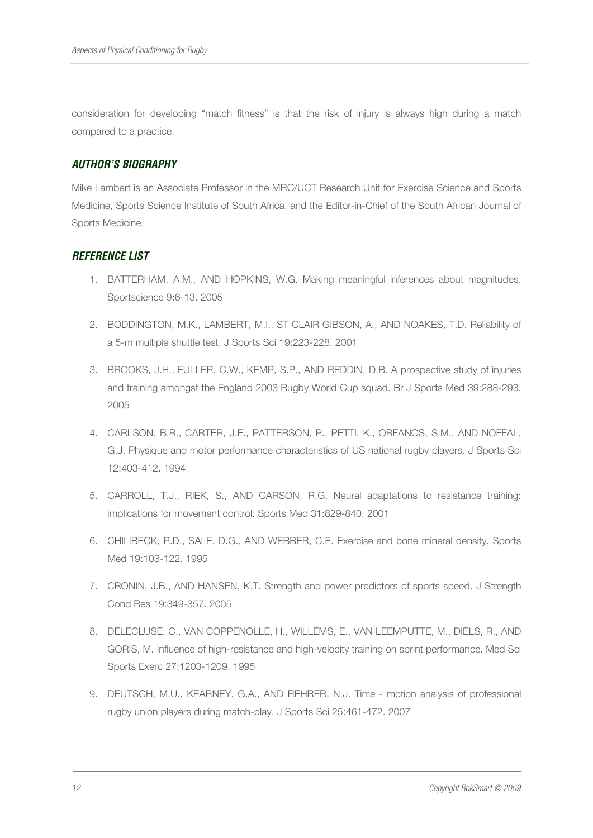consideration for developing "match fitness" is that the risk of injury is always high during a match compared to a practice.

# *AUTHOR'S BIOGRAPHY*

Mike Lambert is an Associate Professor in the MRC/UCT Research Unit for Exercise Science and Sports Medicine, Sports Science Institute of South Africa, and the Editor-in-Chief of the South African Journal of Sports Medicine.

# *REFERENCE LIST*

- 1. BATTERHAM, A.M., AND HOPKINS, W.G. Making meaningful inferences about magnitudes. Sportscience 9:6-13. 2005
- 2. BODDINGTON, M.K., LAMBERT, M.I., ST CLAIR GIBSON, A., AND NOAKES, T.D. Reliability of a 5-m multiple shuttle test. J Sports Sci 19:223-228. 2001
- 3. BROOKS, J.H., FULLER, C.W., KEMP, S.P., AND REDDIN, D.B. A prospective study of injuries and training amongst the England 2003 Rugby World Cup squad. Br J Sports Med 39:288-293. 2005
- 4. CARLSON, B.R., CARTER, J.E., PATTERSON, P., PETTI, K., ORFANOS, S.M., AND NOFFAL, G.J. Physique and motor performance characteristics of US national rugby players. J Sports Sci 12:403-412. 1994
- 5. CARROLL, T.J., RIEK, S., AND CARSON, R.G. Neural adaptations to resistance training: implications for movement control. Sports Med 31:829-840. 2001
- 6. CHILIBECK, P.D., SALE, D.G., AND WEBBER, C.E. Exercise and bone mineral density. Sports Med 19:103-122. 1995
- 7. CRONIN, J.B., AND HANSEN, K.T. Strength and power predictors of sports speed. J Strength Cond Res 19:349-357. 2005
- 8. DELECLUSE, C., VAN COPPENOLLE, H., WILLEMS, E., VAN LEEMPUTTE, M., DIELS, R., AND GORIS, M. Influence of high-resistance and high-velocity training on sprint performance. Med Sci Sports Exerc 27:1203-1209. 1995
- 9. DEUTSCH, M.U., KEARNEY, G.A., AND REHRER, N.J. Time motion analysis of professional rugby union players during match-play. J Sports Sci 25:461-472. 2007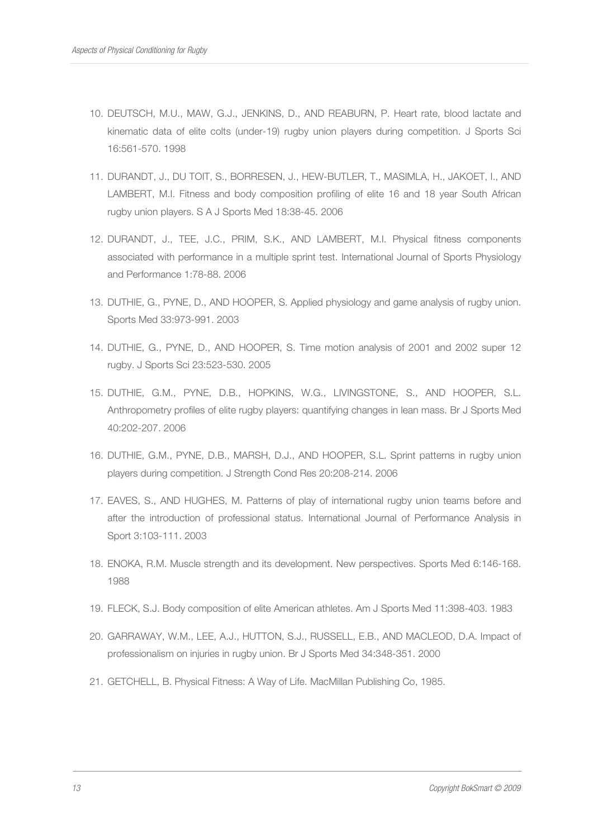- 10. DEUTSCH, M.U., MAW, G.J., JENKINS, D., AND REABURN, P. Heart rate, blood lactate and kinematic data of elite colts (under-19) rugby union players during competition. J Sports Sci 16:561-570. 1998
- 11. DURANDT, J., DU TOIT, S., BORRESEN, J., HEW-BUTLER, T., MASIMLA, H., JAKOET, I., AND LAMBERT, M.I. Fitness and body composition profiling of elite 16 and 18 year South African rugby union players. S A J Sports Med 18:38-45. 2006
- 12. DURANDT, J., TEE, J.C., PRIM, S.K., AND LAMBERT, M.I. Physical fitness components associated with performance in a multiple sprint test. International Journal of Sports Physiology and Performance 1:78-88. 2006
- 13. DUTHIE, G., PYNE, D., AND HOOPER, S. Applied physiology and game analysis of rugby union. Sports Med 33:973-991. 2003
- 14. DUTHIE, G., PYNE, D., AND HOOPER, S. Time motion analysis of 2001 and 2002 super 12 rugby. J Sports Sci 23:523-530. 2005
- 15. DUTHIE, G.M., PYNE, D.B., HOPKINS, W.G., LIVINGSTONE, S., AND HOOPER, S.L. Anthropometry profiles of elite rugby players: quantifying changes in lean mass. Br J Sports Med 40:202-207. 2006
- 16. DUTHIE, G.M., PYNE, D.B., MARSH, D.J., AND HOOPER, S.L. Sprint patterns in rugby union players during competition. J Strength Cond Res 20:208-214. 2006
- 17. EAVES, S., AND HUGHES, M. Patterns of play of international rugby union teams before and after the introduction of professional status. International Journal of Performance Analysis in Sport 3:103-111. 2003
- 18. ENOKA, R.M. Muscle strength and its development. New perspectives. Sports Med 6:146-168. 1988
- 19. FLECK, S.J. Body composition of elite American athletes. Am J Sports Med 11:398-403. 1983
- 20. GARRAWAY, W.M., LEE, A.J., HUTTON, S.J., RUSSELL, E.B., AND MACLEOD, D.A. Impact of professionalism on injuries in rugby union. Br J Sports Med 34:348-351. 2000
- 21. GETCHELL, B. Physical Fitness: A Way of Life. MacMillan Publishing Co, 1985.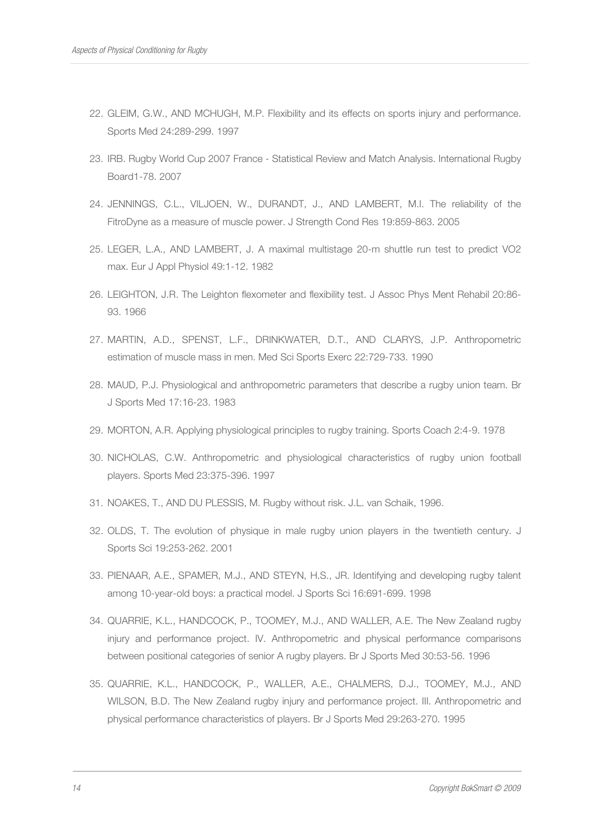- 22. GLEIM, G.W., AND MCHUGH, M.P. Flexibility and its effects on sports injury and performance. Sports Med 24:289-299. 1997
- 23. IRB. Rugby World Cup 2007 France Statistical Review and Match Analysis. International Rugby Board1-78. 2007
- 24. JENNINGS, C.L., VILJOEN, W., DURANDT, J., AND LAMBERT, M.I. The reliability of the FitroDyne as a measure of muscle power. J Strength Cond Res 19:859-863. 2005
- 25. LEGER, L.A., AND LAMBERT, J. A maximal multistage 20-m shuttle run test to predict VO2 max. Eur J Appl Physiol 49:1-12. 1982
- 26. LEIGHTON, J.R. The Leighton flexometer and flexibility test. J Assoc Phys Ment Rehabil 20:86- 93. 1966
- 27. MARTIN, A.D., SPENST, L.F., DRINKWATER, D.T., AND CLARYS, J.P. Anthropometric estimation of muscle mass in men. Med Sci Sports Exerc 22:729-733. 1990
- 28. MAUD, P.J. Physiological and anthropometric parameters that describe a rugby union team. Br J Sports Med 17:16-23. 1983
- 29. MORTON, A.R. Applying physiological principles to rugby training. Sports Coach 2:4-9. 1978
- 30. NICHOLAS, C.W. Anthropometric and physiological characteristics of rugby union football players. Sports Med 23:375-396. 1997
- 31. NOAKES, T., AND DU PLESSIS, M. Rugby without risk. J.L. van Schaik, 1996.
- 32. OLDS, T. The evolution of physique in male rugby union players in the twentieth century. J Sports Sci 19:253-262. 2001
- 33. PIENAAR, A.E., SPAMER, M.J., AND STEYN, H.S., JR. Identifying and developing rugby talent among 10-year-old boys: a practical model. J Sports Sci 16:691-699. 1998
- 34. QUARRIE, K.L., HANDCOCK, P., TOOMEY, M.J., AND WALLER, A.E. The New Zealand rugby injury and performance project. IV. Anthropometric and physical performance comparisons between positional categories of senior A rugby players. Br J Sports Med 30:53-56. 1996
- 35. QUARRIE, K.L., HANDCOCK, P., WALLER, A.E., CHALMERS, D.J., TOOMEY, M.J., AND WILSON, B.D. The New Zealand rugby injury and performance project. III. Anthropometric and physical performance characteristics of players. Br J Sports Med 29:263-270. 1995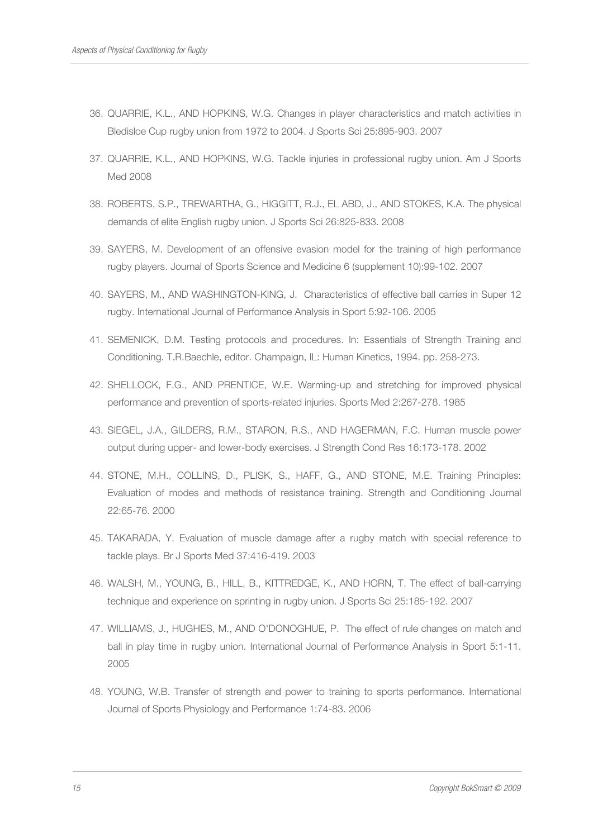- 36. QUARRIE, K.L., AND HOPKINS, W.G. Changes in player characteristics and match activities in Bledisloe Cup rugby union from 1972 to 2004. J Sports Sci 25:895-903. 2007
- 37. QUARRIE, K.L., AND HOPKINS, W.G. Tackle injuries in professional rugby union. Am J Sports Med 2008
- 38. ROBERTS, S.P., TREWARTHA, G., HIGGITT, R.J., EL ABD, J., AND STOKES, K.A. The physical demands of elite English rugby union. J Sports Sci 26:825-833. 2008
- 39. SAYERS, M. Development of an offensive evasion model for the training of high performance rugby players. Journal of Sports Science and Medicine 6 (supplement 10):99-102. 2007
- 40. SAYERS, M., AND WASHINGTON-KING, J. Characteristics of effective ball carries in Super 12 rugby. International Journal of Performance Analysis in Sport 5:92-106. 2005
- 41. SEMENICK, D.M. Testing protocols and procedures. In: Essentials of Strength Training and Conditioning. T.R.Baechle, editor. Champaign, IL: Human Kinetics, 1994. pp. 258-273.
- 42. SHELLOCK, F.G., AND PRENTICE, W.E. Warming-up and stretching for improved physical performance and prevention of sports-related injuries. Sports Med 2:267-278. 1985
- 43. SIEGEL, J.A., GILDERS, R.M., STARON, R.S., AND HAGERMAN, F.C. Human muscle power output during upper- and lower-body exercises. J Strength Cond Res 16:173-178. 2002
- 44. STONE, M.H., COLLINS, D., PLISK, S., HAFF, G., AND STONE, M.E. Training Principles: Evaluation of modes and methods of resistance training. Strength and Conditioning Journal 22:65-76. 2000
- 45. TAKARADA, Y. Evaluation of muscle damage after a rugby match with special reference to tackle plays. Br J Sports Med 37:416-419. 2003
- 46. WALSH, M., YOUNG, B., HILL, B., KITTREDGE, K., AND HORN, T. The effect of ball-carrying technique and experience on sprinting in rugby union. J Sports Sci 25:185-192. 2007
- 47. WILLIAMS, J., HUGHES, M., AND O'DONOGHUE, P. The effect of rule changes on match and ball in play time in rugby union. International Journal of Performance Analysis in Sport 5:1-11. 2005
- 48. YOUNG, W.B. Transfer of strength and power to training to sports performance. International Journal of Sports Physiology and Performance 1:74-83. 2006